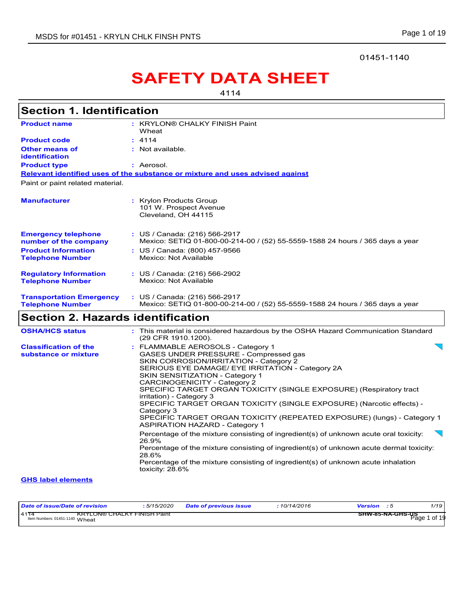01451-1140

# **SAFETY DATA SHEET**

4114

|                                                          | <b>Section 1. Identification</b>                                                                                                                                                                                                                                                                                                                                                                                                                                                                                                                                                                                                                                                                                                                                                                                                                                               |
|----------------------------------------------------------|--------------------------------------------------------------------------------------------------------------------------------------------------------------------------------------------------------------------------------------------------------------------------------------------------------------------------------------------------------------------------------------------------------------------------------------------------------------------------------------------------------------------------------------------------------------------------------------------------------------------------------------------------------------------------------------------------------------------------------------------------------------------------------------------------------------------------------------------------------------------------------|
| <b>Product name</b>                                      | : KRYLON® CHALKY FINISH Paint<br>Wheat                                                                                                                                                                                                                                                                                                                                                                                                                                                                                                                                                                                                                                                                                                                                                                                                                                         |
| <b>Product code</b>                                      | : 4114                                                                                                                                                                                                                                                                                                                                                                                                                                                                                                                                                                                                                                                                                                                                                                                                                                                                         |
| <b>Other means of</b><br><b>identification</b>           | : Not available.                                                                                                                                                                                                                                                                                                                                                                                                                                                                                                                                                                                                                                                                                                                                                                                                                                                               |
| <b>Product type</b>                                      | : Aerosol.                                                                                                                                                                                                                                                                                                                                                                                                                                                                                                                                                                                                                                                                                                                                                                                                                                                                     |
|                                                          | Relevant identified uses of the substance or mixture and uses advised against                                                                                                                                                                                                                                                                                                                                                                                                                                                                                                                                                                                                                                                                                                                                                                                                  |
| Paint or paint related material.                         |                                                                                                                                                                                                                                                                                                                                                                                                                                                                                                                                                                                                                                                                                                                                                                                                                                                                                |
| <b>Manufacturer</b>                                      | : Krylon Products Group<br>101 W. Prospect Avenue<br>Cleveland, OH 44115                                                                                                                                                                                                                                                                                                                                                                                                                                                                                                                                                                                                                                                                                                                                                                                                       |
| <b>Emergency telephone</b><br>number of the company      | : US / Canada: (216) 566-2917<br>Mexico: SETIQ 01-800-00-214-00 / (52) 55-5559-1588 24 hours / 365 days a year                                                                                                                                                                                                                                                                                                                                                                                                                                                                                                                                                                                                                                                                                                                                                                 |
| <b>Product Information</b><br><b>Telephone Number</b>    | : US / Canada: (800) 457-9566<br>Mexico: Not Available                                                                                                                                                                                                                                                                                                                                                                                                                                                                                                                                                                                                                                                                                                                                                                                                                         |
| <b>Regulatory Information</b><br><b>Telephone Number</b> | : US / Canada: (216) 566-2902<br>Mexico: Not Available                                                                                                                                                                                                                                                                                                                                                                                                                                                                                                                                                                                                                                                                                                                                                                                                                         |
| <b>Transportation Emergency</b>                          | : US / Canada: (216) 566-2917                                                                                                                                                                                                                                                                                                                                                                                                                                                                                                                                                                                                                                                                                                                                                                                                                                                  |
| <b>Telephone Number</b>                                  | Mexico: SETIQ 01-800-00-214-00 / (52) 55-5559-1588 24 hours / 365 days a year                                                                                                                                                                                                                                                                                                                                                                                                                                                                                                                                                                                                                                                                                                                                                                                                  |
| <b>Section 2. Hazards identification</b>                 |                                                                                                                                                                                                                                                                                                                                                                                                                                                                                                                                                                                                                                                                                                                                                                                                                                                                                |
| <b>OSHA/HCS status</b>                                   | : This material is considered hazardous by the OSHA Hazard Communication Standard<br>(29 CFR 1910.1200).                                                                                                                                                                                                                                                                                                                                                                                                                                                                                                                                                                                                                                                                                                                                                                       |
| <b>Classification of the</b><br>substance or mixture     | : FLAMMABLE AEROSOLS - Category 1<br>GASES UNDER PRESSURE - Compressed gas<br>SKIN CORROSION/IRRITATION - Category 2<br>SERIOUS EYE DAMAGE/ EYE IRRITATION - Category 2A<br>SKIN SENSITIZATION - Category 1<br><b>CARCINOGENICITY - Category 2</b><br>SPECIFIC TARGET ORGAN TOXICITY (SINGLE EXPOSURE) (Respiratory tract<br>irritation) - Category 3<br>SPECIFIC TARGET ORGAN TOXICITY (SINGLE EXPOSURE) (Narcotic effects) -<br>Category 3<br>SPECIFIC TARGET ORGAN TOXICITY (REPEATED EXPOSURE) (lungs) - Category 1<br><b>ASPIRATION HAZARD - Category 1</b><br>Percentage of the mixture consisting of ingredient(s) of unknown acute oral toxicity:<br>26.9%<br>Percentage of the mixture consisting of ingredient(s) of unknown acute dermal toxicity:<br>28.6%<br>Percentage of the mixture consisting of ingredient(s) of unknown acute inhalation<br>toxicity: 28.6% |

| Date of issue/Date of revision                                               | 5/15/2020 | <b>Date of previous issue</b> | 10/14/2016 | Version                 | 1/19         |
|------------------------------------------------------------------------------|-----------|-------------------------------|------------|-------------------------|--------------|
| 4114<br><b>KRYLON® CHALKY FINISH Paint</b><br>Item Numbers: 01451-1140 Wheat |           |                               |            | <b>SHW-85-NA-GHS-US</b> | Page 1 of 19 |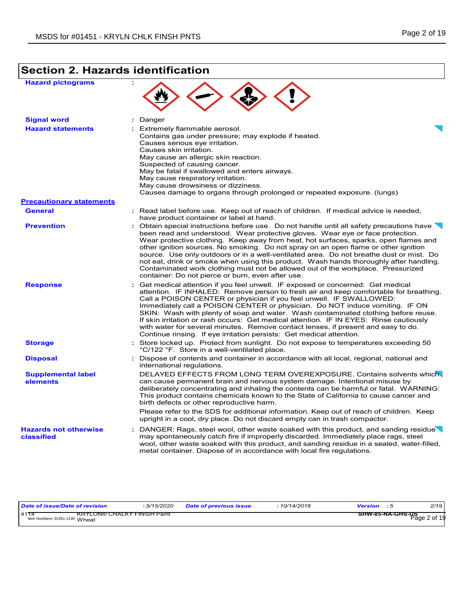| <b>Section 2. Hazards identification</b>   |                                                                                                                                                                                                                                                                                                                                                                                                                                                                                                                                                                                                                                                                                          |
|--------------------------------------------|------------------------------------------------------------------------------------------------------------------------------------------------------------------------------------------------------------------------------------------------------------------------------------------------------------------------------------------------------------------------------------------------------------------------------------------------------------------------------------------------------------------------------------------------------------------------------------------------------------------------------------------------------------------------------------------|
| <b>Hazard pictograms</b>                   |                                                                                                                                                                                                                                                                                                                                                                                                                                                                                                                                                                                                                                                                                          |
| <b>Signal word</b>                         | : Danger                                                                                                                                                                                                                                                                                                                                                                                                                                                                                                                                                                                                                                                                                 |
| <b>Hazard statements</b>                   | : Extremely flammable aerosol.<br>Contains gas under pressure; may explode if heated.<br>Causes serious eye irritation.<br>Causes skin irritation.<br>May cause an allergic skin reaction.<br>Suspected of causing cancer.<br>May be fatal if swallowed and enters airways.<br>May cause respiratory irritation.<br>May cause drowsiness or dizziness.<br>Causes damage to organs through prolonged or repeated exposure. (lungs)                                                                                                                                                                                                                                                        |
| <b>Precautionary statements</b>            |                                                                                                                                                                                                                                                                                                                                                                                                                                                                                                                                                                                                                                                                                          |
| <b>General</b>                             | : Read label before use. Keep out of reach of children. If medical advice is needed,<br>have product container or label at hand.                                                                                                                                                                                                                                                                                                                                                                                                                                                                                                                                                         |
| <b>Prevention</b>                          | : Obtain special instructions before use. Do not handle until all safety precautions have<br>been read and understood. Wear protective gloves. Wear eye or face protection.<br>Wear protective clothing. Keep away from heat, hot surfaces, sparks, open flames and<br>other ignition sources. No smoking. Do not spray on an open flame or other ignition<br>source. Use only outdoors or in a well-ventilated area. Do not breathe dust or mist. Do<br>not eat, drink or smoke when using this product. Wash hands thoroughly after handling.<br>Contaminated work clothing must not be allowed out of the workplace. Pressurized<br>container: Do not pierce or burn, even after use. |
| <b>Response</b>                            | : Get medical attention if you feel unwell. IF exposed or concerned: Get medical<br>attention. IF INHALED: Remove person to fresh air and keep comfortable for breathing.<br>Call a POISON CENTER or physician if you feel unwell. IF SWALLOWED:<br>Immediately call a POISON CENTER or physician. Do NOT induce vomiting. IF ON<br>SKIN: Wash with plenty of soap and water. Wash contaminated clothing before reuse.<br>If skin irritation or rash occurs: Get medical attention. IF IN EYES: Rinse cautiously<br>with water for several minutes. Remove contact lenses, if present and easy to do.<br>Continue rinsing. If eye irritation persists: Get medical attention.            |
| <b>Storage</b>                             | : Store locked up. Protect from sunlight. Do not expose to temperatures exceeding 50<br>°C/122 °F. Store in a well-ventilated place.                                                                                                                                                                                                                                                                                                                                                                                                                                                                                                                                                     |
| <b>Disposal</b>                            | : Dispose of contents and container in accordance with all local, regional, national and<br>international regulations.                                                                                                                                                                                                                                                                                                                                                                                                                                                                                                                                                                   |
| <b>Supplemental label</b><br>elements      | DELAYED EFFECTS FROM LONG TERM OVEREXPOSURE. Contains solvents which<br>can cause permanent brain and nervous system damage. Intentional misuse by<br>deliberately concentrating and inhaling the contents can be harmful or fatal. WARNING:<br>This product contains chemicals known to the State of California to cause cancer and<br>birth defects or other reproductive harm.                                                                                                                                                                                                                                                                                                        |
|                                            | Please refer to the SDS for additional information. Keep out of reach of children. Keep<br>upright in a cool, dry place. Do not discard empty can in trash compactor.                                                                                                                                                                                                                                                                                                                                                                                                                                                                                                                    |
| <b>Hazards not otherwise</b><br>classified | : DANGER: Rags, steel wool, other waste soaked with this product, and sanding residue<br>may spontaneously catch fire if improperly discarded. Immediately place rags, steel<br>wool, other waste soaked with this product, and sanding residue in a sealed, water-filled,<br>metal container. Dispose of in accordance with local fire regulations.                                                                                                                                                                                                                                                                                                                                     |

| Date of issue/Date of revision                                               | : 5/15/2020 | <b>Date of previous issue</b> | 10/14/2016 | <b>Version</b> : 5 | 2/19         |
|------------------------------------------------------------------------------|-------------|-------------------------------|------------|--------------------|--------------|
| 4114<br><b>KRYLON® CHALKY FINISH Paint</b><br>Item Numbers: 01451-1140 Wheat |             |                               |            | SHW-85-NA-GHS-US   | Page 2 of 19 |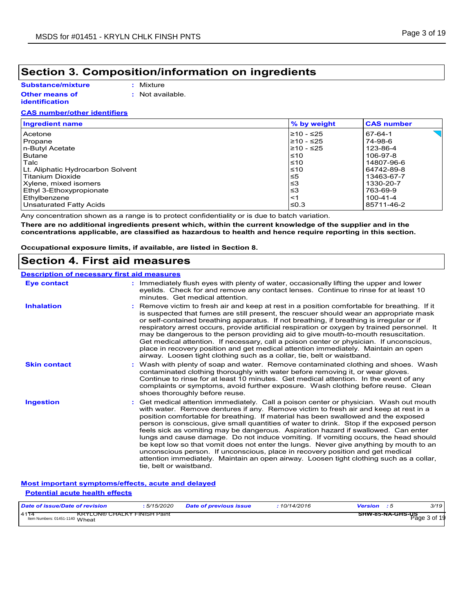### **Section 3. Composition/information on ingredients**

### **Substance/mixture**

**:** Mixture

#### **Other means of identification**

**:** Not available.

#### **CAS number/other identifiers**

| Ingredient name                   | % by weight | <b>CAS number</b> |
|-----------------------------------|-------------|-------------------|
| Acetone                           | ≥10 - ≤25   | 67-64-1           |
| Propane                           | ≥10 - ≤25   | 74-98-6           |
| n-Butyl Acetate                   | ≥10 - ≤25   | 123-86-4          |
| <b>Butane</b>                     | $\leq 10$   | 106-97-8          |
| Talc                              | $≤10$       | 14807-96-6        |
| Lt. Aliphatic Hydrocarbon Solvent | $≤10$       | 64742-89-8        |
| <b>Titanium Dioxide</b>           | ≤5          | 13463-67-7        |
| Xylene, mixed isomers             | ≤3          | 1330-20-7         |
| Ethyl 3-Ethoxypropionate          | ≤3          | 763-69-9          |
| Ethylbenzene                      | $<$ 1       | $100 - 41 - 4$    |
| Unsaturated Fatty Acids           | ≤ $0.3$     | 85711-46-2        |

Any concentration shown as a range is to protect confidentiality or is due to batch variation.

**There are no additional ingredients present which, within the current knowledge of the supplier and in the concentrations applicable, are classified as hazardous to health and hence require reporting in this section.**

**Occupational exposure limits, if available, are listed in Section 8.**

### **Section 4. First aid measures**

#### **Description of necessary first aid measures**

| <b>Eye contact</b>  | : Immediately flush eyes with plenty of water, occasionally lifting the upper and lower<br>eyelids. Check for and remove any contact lenses. Continue to rinse for at least 10<br>minutes. Get medical attention.                                                                                                                                                                                                                                                                                                                                                                                                                                                                                                                                                                                                                               |
|---------------------|-------------------------------------------------------------------------------------------------------------------------------------------------------------------------------------------------------------------------------------------------------------------------------------------------------------------------------------------------------------------------------------------------------------------------------------------------------------------------------------------------------------------------------------------------------------------------------------------------------------------------------------------------------------------------------------------------------------------------------------------------------------------------------------------------------------------------------------------------|
| <b>Inhalation</b>   | : Remove victim to fresh air and keep at rest in a position comfortable for breathing. If it<br>is suspected that fumes are still present, the rescuer should wear an appropriate mask<br>or self-contained breathing apparatus. If not breathing, if breathing is irregular or if<br>respiratory arrest occurs, provide artificial respiration or oxygen by trained personnel. It<br>may be dangerous to the person providing aid to give mouth-to-mouth resuscitation.<br>Get medical attention. If necessary, call a poison center or physician. If unconscious,<br>place in recovery position and get medical attention immediately. Maintain an open<br>airway. Loosen tight clothing such as a collar, tie, belt or waistband.                                                                                                            |
| <b>Skin contact</b> | : Wash with plenty of soap and water. Remove contaminated clothing and shoes. Wash<br>contaminated clothing thoroughly with water before removing it, or wear gloves.<br>Continue to rinse for at least 10 minutes. Get medical attention. In the event of any<br>complaints or symptoms, avoid further exposure. Wash clothing before reuse. Clean<br>shoes thoroughly before reuse.                                                                                                                                                                                                                                                                                                                                                                                                                                                           |
| <b>Ingestion</b>    | : Get medical attention immediately. Call a poison center or physician. Wash out mouth<br>with water. Remove dentures if any. Remove victim to fresh air and keep at rest in a<br>position comfortable for breathing. If material has been swallowed and the exposed<br>person is conscious, give small quantities of water to drink. Stop if the exposed person<br>feels sick as vomiting may be dangerous. Aspiration hazard if swallowed. Can enter<br>lungs and cause damage. Do not induce vomiting. If vomiting occurs, the head should<br>be kept low so that vomit does not enter the lungs. Never give anything by mouth to an<br>unconscious person. If unconscious, place in recovery position and get medical<br>attention immediately. Maintain an open airway. Loosen tight clothing such as a collar,<br>tie, belt or waistband. |

#### **Most important symptoms/effects, acute and delayed Potential acute health effects**

| Date of issue/Date of revision                                               | 5/15/2020 | <b>Date of previous issue</b> | 10/14/2016 | Version          | 3/19         |
|------------------------------------------------------------------------------|-----------|-------------------------------|------------|------------------|--------------|
| 4114<br><b>KRYLON® CHALKY FINISH Paint</b><br>Item Numbers: 01451-1140 Wheat |           |                               |            | SHW-85-NA-GHS-US | Pace 3 of 19 |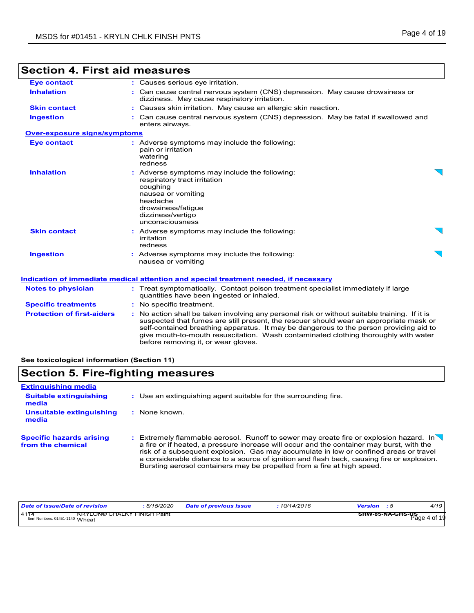| OGCWULL 7. LIISL AIU IIIGASULGS     |                                                                                                                                                                                                                                                                                                                                                                                                                 |  |
|-------------------------------------|-----------------------------------------------------------------------------------------------------------------------------------------------------------------------------------------------------------------------------------------------------------------------------------------------------------------------------------------------------------------------------------------------------------------|--|
| <b>Eye contact</b>                  | : Causes serious eye irritation.                                                                                                                                                                                                                                                                                                                                                                                |  |
| <b>Inhalation</b>                   | : Can cause central nervous system (CNS) depression. May cause drowsiness or<br>dizziness. May cause respiratory irritation.                                                                                                                                                                                                                                                                                    |  |
| <b>Skin contact</b>                 | : Causes skin irritation. May cause an allergic skin reaction.                                                                                                                                                                                                                                                                                                                                                  |  |
| <b>Ingestion</b>                    | : Can cause central nervous system (CNS) depression. May be fatal if swallowed and<br>enters airways.                                                                                                                                                                                                                                                                                                           |  |
| <b>Over-exposure signs/symptoms</b> |                                                                                                                                                                                                                                                                                                                                                                                                                 |  |
| <b>Eye contact</b>                  | : Adverse symptoms may include the following:<br>pain or irritation<br>watering<br>redness                                                                                                                                                                                                                                                                                                                      |  |
| <b>Inhalation</b>                   | : Adverse symptoms may include the following:<br>respiratory tract irritation<br>coughing<br>nausea or vomiting<br>headache<br>drowsiness/fatigue<br>dizziness/vertigo<br>unconsciousness                                                                                                                                                                                                                       |  |
| <b>Skin contact</b>                 | : Adverse symptoms may include the following:<br>irritation<br>redness                                                                                                                                                                                                                                                                                                                                          |  |
| <b>Ingestion</b>                    | : Adverse symptoms may include the following:<br>nausea or vomiting                                                                                                                                                                                                                                                                                                                                             |  |
|                                     | <u>Indication of immediate medical attention and special treatment needed, if necessary</u>                                                                                                                                                                                                                                                                                                                     |  |
| <b>Notes to physician</b>           | : Treat symptomatically. Contact poison treatment specialist immediately if large<br>quantities have been ingested or inhaled.                                                                                                                                                                                                                                                                                  |  |
| <b>Specific treatments</b>          | : No specific treatment.                                                                                                                                                                                                                                                                                                                                                                                        |  |
| <b>Protection of first-aiders</b>   | : No action shall be taken involving any personal risk or without suitable training. If it is<br>suspected that fumes are still present, the rescuer should wear an appropriate mask or<br>self-contained breathing apparatus. It may be dangerous to the person providing aid to<br>give mouth-to-mouth resuscitation. Wash contaminated clothing thoroughly with water<br>before removing it, or wear gloves. |  |

# **Section 4. First aid measures**

**See toxicological information (Section 11)**

# **Section 5. Fire-fighting measures**

| <b>Extinguishing media</b>                           |                                                                                                                                                                                                                                                                                                                                                                                                                                                                   |
|------------------------------------------------------|-------------------------------------------------------------------------------------------------------------------------------------------------------------------------------------------------------------------------------------------------------------------------------------------------------------------------------------------------------------------------------------------------------------------------------------------------------------------|
| <b>Suitable extinguishing</b><br>media               | : Use an extinguishing agent suitable for the surrounding fire.                                                                                                                                                                                                                                                                                                                                                                                                   |
| Unsuitable extinguishing<br>media                    | : None known.                                                                                                                                                                                                                                                                                                                                                                                                                                                     |
| <b>Specific hazards arising</b><br>from the chemical | : Extremely flammable aerosol. Runoff to sewer may create fire or explosion hazard. $\ln \sqrt{ }$<br>a fire or if heated, a pressure increase will occur and the container may burst, with the<br>risk of a subsequent explosion. Gas may accumulate in low or confined areas or travel<br>a considerable distance to a source of ignition and flash back, causing fire or explosion.<br>Bursting aerosol containers may be propelled from a fire at high speed. |

| Date of issue/Date of revision                                               | 5/15/2020 | Date of previous issue | : 10/14/2016 | Version                 | 4/19         |
|------------------------------------------------------------------------------|-----------|------------------------|--------------|-------------------------|--------------|
| <b>KRYLON® CHALKY FINISH Paint</b><br>4117<br>Item Numbers: 01451-1140 Wheat |           |                        |              | <b>SHW-85-NA-GHS-US</b> | Page 4 of 19 |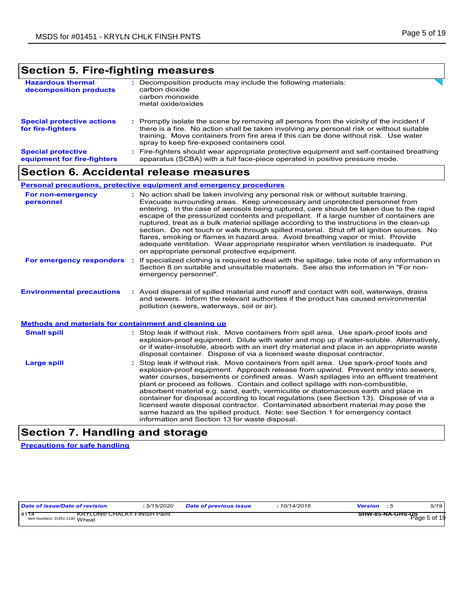# **Section 5. Fire-fighting measures**

| <b>Hazardous thermal</b><br>decomposition products       | Decomposition products may include the following materials:<br>carbon dioxide<br>carbon monoxide<br>metal oxide/oxides                                                                                                                                                                                                      |
|----------------------------------------------------------|-----------------------------------------------------------------------------------------------------------------------------------------------------------------------------------------------------------------------------------------------------------------------------------------------------------------------------|
| <b>Special protective actions</b><br>for fire-fighters   | Promptly isolate the scene by removing all persons from the vicinity of the incident if<br>there is a fire. No action shall be taken involving any personal risk or without suitable<br>training. Move containers from fire area if this can be done without risk. Use water<br>spray to keep fire-exposed containers cool. |
| <b>Special protective</b><br>equipment for fire-fighters | Fire-fighters should wear appropriate protective equipment and self-contained breathing<br>apparatus (SCBA) with a full face-piece operated in positive pressure mode.                                                                                                                                                      |

### **Section 6. Accidental release measures**

#### **Personal precautions, protective equipment and emergency procedures**

| For non-emergency<br>personnel                        |    | : No action shall be taken involving any personal risk or without suitable training.<br>Evacuate surrounding areas. Keep unnecessary and unprotected personnel from<br>entering. In the case of aerosols being ruptured, care should be taken due to the rapid<br>escape of the pressurized contents and propellant. If a large number of containers are<br>ruptured, treat as a bulk material spillage according to the instructions in the clean-up<br>section. Do not touch or walk through spilled material. Shut off all ignition sources. No<br>flares, smoking or flames in hazard area. Avoid breathing vapor or mist. Provide<br>adequate ventilation. Wear appropriate respirator when ventilation is inadequate. Put<br>on appropriate personal protective equipment. |
|-------------------------------------------------------|----|----------------------------------------------------------------------------------------------------------------------------------------------------------------------------------------------------------------------------------------------------------------------------------------------------------------------------------------------------------------------------------------------------------------------------------------------------------------------------------------------------------------------------------------------------------------------------------------------------------------------------------------------------------------------------------------------------------------------------------------------------------------------------------|
| For emergency responders                              | ÷. | If specialized clothing is required to deal with the spillage, take note of any information in<br>Section 8 on suitable and unsuitable materials. See also the information in "For non-<br>emergency personnel".                                                                                                                                                                                                                                                                                                                                                                                                                                                                                                                                                                 |
| <b>Environmental precautions</b>                      |    | : Avoid dispersal of spilled material and runoff and contact with soil, waterways, drains<br>and sewers. Inform the relevant authorities if the product has caused environmental<br>pollution (sewers, waterways, soil or air).                                                                                                                                                                                                                                                                                                                                                                                                                                                                                                                                                  |
| Methods and materials for containment and cleaning up |    |                                                                                                                                                                                                                                                                                                                                                                                                                                                                                                                                                                                                                                                                                                                                                                                  |
| <b>Small spill</b>                                    |    | : Stop leak if without risk. Move containers from spill area. Use spark-proof tools and<br>explosion-proof equipment. Dilute with water and mop up if water-soluble. Alternatively,<br>or if water-insoluble, absorb with an inert dry material and place in an appropriate waste<br>disposal container. Dispose of via a licensed waste disposal contractor.                                                                                                                                                                                                                                                                                                                                                                                                                    |
| <b>Large spill</b>                                    |    | Stop leak if without risk. Move containers from spill area. Use spark-proof tools and<br>explosion-proof equipment. Approach release from upwind. Prevent entry into sewers,<br>water courses, basements or confined areas. Wash spillages into an effluent treatment<br>plant or proceed as follows. Contain and collect spillage with non-combustible,<br>absorbent material e.g. sand, earth, vermiculite or diatomaceous earth and place in<br>container for disposal according to local regulations (see Section 13). Dispose of via a<br>licensed waste disposal contractor. Contaminated absorbent material may pose the                                                                                                                                                  |

### **Section 7. Handling and storage**

**Precautions for safe handling**

| Date of issue/Date of revision                                               | 5/15/2020 | <b>Date of previous issue</b> | 10/14/2016 | Version          | 5/19         |
|------------------------------------------------------------------------------|-----------|-------------------------------|------------|------------------|--------------|
| 4114<br><b>KRYLON® CHALKY FINISH Paint</b><br>Item Numbers: 01451-1140 Wheat |           |                               |            | SHW-85-NA-GHS-US | Page 5 of 19 |

information and Section 13 for waste disposal.

same hazard as the spilled product. Note: see Section 1 for emergency contact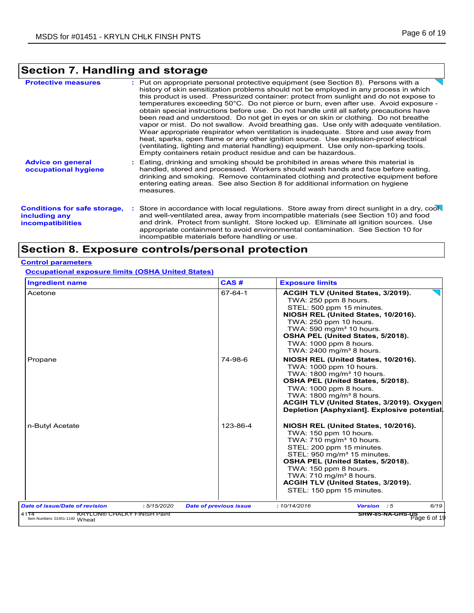# **Section 7. Handling and storage**

| <b>Protective measures</b>                                                       | : Put on appropriate personal protective equipment (see Section 8). Persons with a<br>history of skin sensitization problems should not be employed in any process in which<br>this product is used. Pressurized container: protect from sunlight and do not expose to<br>temperatures exceeding 50°C. Do not pierce or burn, even after use. Avoid exposure -<br>obtain special instructions before use. Do not handle until all safety precautions have<br>been read and understood. Do not get in eyes or on skin or clothing. Do not breathe<br>vapor or mist. Do not swallow. Avoid breathing gas. Use only with adequate ventilation.<br>Wear appropriate respirator when ventilation is inadequate. Store and use away from<br>heat, sparks, open flame or any other ignition source. Use explosion-proof electrical<br>(ventilating, lighting and material handling) equipment. Use only non-sparking tools.<br>Empty containers retain product residue and can be hazardous. |
|----------------------------------------------------------------------------------|---------------------------------------------------------------------------------------------------------------------------------------------------------------------------------------------------------------------------------------------------------------------------------------------------------------------------------------------------------------------------------------------------------------------------------------------------------------------------------------------------------------------------------------------------------------------------------------------------------------------------------------------------------------------------------------------------------------------------------------------------------------------------------------------------------------------------------------------------------------------------------------------------------------------------------------------------------------------------------------|
| <b>Advice on general</b><br>occupational hygiene                                 | : Eating, drinking and smoking should be prohibited in areas where this material is<br>handled, stored and processed. Workers should wash hands and face before eating.<br>drinking and smoking. Remove contaminated clothing and protective equipment before<br>entering eating areas. See also Section 8 for additional information on hygiene<br>measures.                                                                                                                                                                                                                                                                                                                                                                                                                                                                                                                                                                                                                         |
| <b>Conditions for safe storage,</b><br>including any<br><b>incompatibilities</b> | $\pm$ Store in accordance with local regulations. Store away from direct sunlight in a dry, cool<br>and well-ventilated area, away from incompatible materials (see Section 10) and food<br>and drink. Protect from sunlight. Store locked up. Eliminate all ignition sources. Use<br>appropriate containment to avoid environmental contamination. See Section 10 for<br>incompatible materials before handling or use.                                                                                                                                                                                                                                                                                                                                                                                                                                                                                                                                                              |

# **Section 8. Exposure controls/personal protection**

#### **Control parameters**

**Occupational exposure limits (OSHA United States)**

| <b>Ingredient name</b>                |            | CAS#                          | <b>Exposure limits</b>                                                                                                                                                                                                                                                                                                                               |
|---------------------------------------|------------|-------------------------------|------------------------------------------------------------------------------------------------------------------------------------------------------------------------------------------------------------------------------------------------------------------------------------------------------------------------------------------------------|
| Acetone                               |            | $67 - 64 - 1$                 | ACGIH TLV (United States, 3/2019).<br>TWA: 250 ppm 8 hours.<br>STEL: 500 ppm 15 minutes.<br>NIOSH REL (United States, 10/2016).<br>TWA: 250 ppm 10 hours.<br>TWA: 590 mg/m <sup>3</sup> 10 hours.<br>OSHA PEL (United States, 5/2018).<br>TWA: 1000 ppm 8 hours<br>TWA: $2400 \text{ mg/m}^3$ 8 hours.                                               |
| Propane                               |            | 74-98-6                       | NIOSH REL (United States, 10/2016).<br>TWA: 1000 ppm 10 hours.<br>TWA: 1800 mg/m <sup>3</sup> 10 hours.<br>OSHA PEL (United States, 5/2018).<br>TWA: 1000 ppm 8 hours.<br>TWA: 1800 mg/m <sup>3</sup> 8 hours.<br>ACGIH TLV (United States, 3/2019). Oxygen<br>Depletion [Asphyxiant]. Explosive potential.                                          |
| n-Butyl Acetate                       |            | 123-86-4                      | NIOSH REL (United States, 10/2016).<br>TWA: 150 ppm 10 hours.<br>TWA: 710 mg/m <sup>3</sup> 10 hours.<br>STEL: 200 ppm 15 minutes.<br>STEL: 950 mg/m <sup>3</sup> 15 minutes.<br>OSHA PEL (United States, 5/2018).<br>TWA: 150 ppm 8 hours.<br>TWA: $710 \text{ mg/m}^3$ 8 hours.<br>ACGIH TLV (United States, 3/2019).<br>STEL: 150 ppm 15 minutes. |
| <b>Date of issue/Date of revision</b> | :5/15/2020 | <b>Date of previous issue</b> | 6/19<br>Version : 5<br>:10/14/2016                                                                                                                                                                                                                                                                                                                   |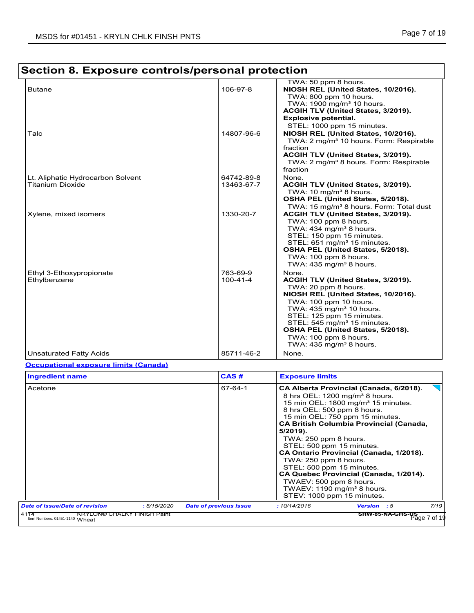٦

| Section 8. Exposure controis/personal protection             |                            |                                                                                                                                                                                                                                                                                                                                                            |
|--------------------------------------------------------------|----------------------------|------------------------------------------------------------------------------------------------------------------------------------------------------------------------------------------------------------------------------------------------------------------------------------------------------------------------------------------------------------|
| <b>Butane</b>                                                | 106-97-8                   | TWA: 50 ppm 8 hours.<br>NIOSH REL (United States, 10/2016).<br>TWA: 800 ppm 10 hours.                                                                                                                                                                                                                                                                      |
| Talc                                                         | 14807-96-6                 | TWA: 1900 mg/m <sup>3</sup> 10 hours.<br>ACGIH TLV (United States, 3/2019).<br><b>Explosive potential.</b><br>STEL: 1000 ppm 15 minutes.<br>NIOSH REL (United States, 10/2016).<br>TWA: 2 mg/m <sup>3</sup> 10 hours. Form: Respirable<br>fraction<br>ACGIH TLV (United States, 3/2019).<br>TWA: 2 mg/m <sup>3</sup> 8 hours. Form: Respirable<br>fraction |
| Lt. Aliphatic Hydrocarbon Solvent<br><b>Titanium Dioxide</b> | 64742-89-8<br>13463-67-7   | None.<br>ACGIH TLV (United States, 3/2019).<br>TWA: $10 \text{ mg/m}^3$ 8 hours.<br>OSHA PEL (United States, 5/2018).<br>TWA: 15 mg/m <sup>3</sup> 8 hours. Form: Total dust                                                                                                                                                                               |
| Xylene, mixed isomers                                        | 1330-20-7                  | ACGIH TLV (United States, 3/2019).<br>TWA: 100 ppm 8 hours.<br>TWA: 434 mg/m <sup>3</sup> 8 hours.<br>STEL: 150 ppm 15 minutes.<br>STEL: 651 mg/m <sup>3</sup> 15 minutes.<br>OSHA PEL (United States, 5/2018).<br>TWA: 100 ppm 8 hours.<br>TWA: $435 \text{ mg/m}^3$ 8 hours.                                                                             |
| Ethyl 3-Ethoxypropionate<br>Ethylbenzene                     | 763-69-9<br>$100 - 41 - 4$ | None.<br>ACGIH TLV (United States, 3/2019).<br>TWA: 20 ppm 8 hours.<br>NIOSH REL (United States, 10/2016).<br>TWA: 100 ppm 10 hours.<br>TWA: $435 \text{ mg/m}^3$ 10 hours.<br>STEL: 125 ppm 15 minutes.<br>STEL: 545 mg/m <sup>3</sup> 15 minutes.<br>OSHA PEL (United States, 5/2018).<br>TWA: 100 ppm 8 hours.<br>TWA: $435 \text{ mg/m}^3$ 8 hours.    |
| <b>Unsaturated Fatty Acids</b>                               | 85711-46-2                 | None.                                                                                                                                                                                                                                                                                                                                                      |

# **Section 8. Exposure controls/personal protection**

**Occupational exposure limits (Canada)**

| Ingredient name                |            | CAS#                          | <b>Exposure limits</b>                                                                                                                                                                                                                                                                                                                                                                                                                                                                                                                                                      |      |
|--------------------------------|------------|-------------------------------|-----------------------------------------------------------------------------------------------------------------------------------------------------------------------------------------------------------------------------------------------------------------------------------------------------------------------------------------------------------------------------------------------------------------------------------------------------------------------------------------------------------------------------------------------------------------------------|------|
| Acetone                        |            | 67-64-1                       | CA Alberta Provincial (Canada, 6/2018).<br>8 hrs OEL: 1200 mg/m <sup>3</sup> 8 hours.<br>15 min OEL: 1800 mg/m <sup>3</sup> 15 minutes.<br>8 hrs OEL: 500 ppm 8 hours.<br>15 min OEL: 750 ppm 15 minutes.<br><b>CA British Columbia Provincial (Canada,</b><br>5/2019).<br>TWA: 250 ppm 8 hours.<br>STEL: 500 ppm 15 minutes.<br>CA Ontario Provincial (Canada, 1/2018).<br>TWA: 250 ppm 8 hours.<br>STEL: 500 ppm 15 minutes.<br>CA Quebec Provincial (Canada, 1/2014).<br>TWAEV: 500 ppm 8 hours.<br>TWAEV: 1190 mg/m <sup>3</sup> 8 hours.<br>STEV: 1000 ppm 15 minutes. |      |
| Date of issue/Date of revision | :5/15/2020 | <b>Date of previous issue</b> | :10/14/2016<br><b>Version</b> : 5<br>SHW-85-NA-GHS-US<br>Page 7 of 19                                                                                                                                                                                                                                                                                                                                                                                                                                                                                                       | 7/19 |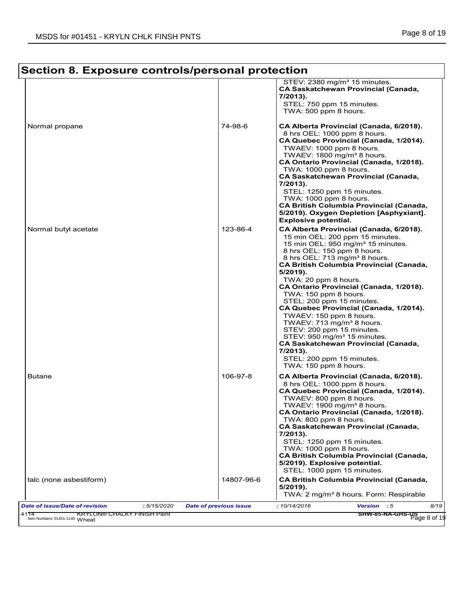|                         |            | STEV: 2380 mg/m <sup>3</sup> 15 minutes.<br><b>CA Saskatchewan Provincial (Canada,</b><br>7/2013).<br>STEL: 750 ppm 15 minutes.<br>TWA: 500 ppm 8 hours.                                                                                                                                                                                                                                                                                                                                                                                                                                                                                                                                                |
|-------------------------|------------|---------------------------------------------------------------------------------------------------------------------------------------------------------------------------------------------------------------------------------------------------------------------------------------------------------------------------------------------------------------------------------------------------------------------------------------------------------------------------------------------------------------------------------------------------------------------------------------------------------------------------------------------------------------------------------------------------------|
| Normal propane          | 74-98-6    | CA Alberta Provincial (Canada, 6/2018).<br>8 hrs OEL: 1000 ppm 8 hours.<br>CA Quebec Provincial (Canada, 1/2014).<br>TWAEV: 1000 ppm 8 hours.<br>TWAEV: 1800 mg/m <sup>3</sup> 8 hours.<br>CA Ontario Provincial (Canada, 1/2018).<br>TWA: 1000 ppm 8 hours.<br>CA Saskatchewan Provincial (Canada,                                                                                                                                                                                                                                                                                                                                                                                                     |
|                         |            | 7/2013).<br>STEL: 1250 ppm 15 minutes.<br>TWA: 1000 ppm 8 hours.<br><b>CA British Columbia Provincial (Canada,</b><br>5/2019). Oxygen Depletion [Asphyxiant].<br><b>Explosive potential.</b>                                                                                                                                                                                                                                                                                                                                                                                                                                                                                                            |
| Normal butyl acetate    | 123-86-4   | CA Alberta Provincial (Canada, 6/2018).<br>15 min OEL: 200 ppm 15 minutes.<br>15 min OEL: 950 mg/m <sup>3</sup> 15 minutes.<br>8 hrs OEL: 150 ppm 8 hours.<br>8 hrs OEL: 713 mg/m <sup>3</sup> 8 hours.<br><b>CA British Columbia Provincial (Canada,</b><br>$5/2019$ ).<br>TWA: 20 ppm 8 hours.<br>CA Ontario Provincial (Canada, 1/2018).<br>TWA: 150 ppm 8 hours.<br>STEL: 200 ppm 15 minutes.<br>CA Quebec Provincial (Canada, 1/2014).<br>TWAEV: 150 ppm 8 hours.<br>TWAEV: 713 mg/m <sup>3</sup> 8 hours.<br>STEV: 200 ppm 15 minutes.<br>STEV: 950 mg/m <sup>3</sup> 15 minutes.<br><b>CA Saskatchewan Provincial (Canada,</b><br>7/2013).<br>STEL: 200 ppm 15 minutes.<br>TWA: 150 ppm 8 hours. |
| <b>Butane</b>           | 106-97-8   | CA Alberta Provincial (Canada, 6/2018).<br>8 hrs OEL: 1000 ppm 8 hours.<br>CA Quebec Provincial (Canada, 1/2014).<br>TWAEV: 800 ppm 8 hours.<br>TWAEV: 1900 mg/m <sup>3</sup> 8 hours.<br>CA Ontario Provincial (Canada, 1/2018).<br>TWA: 800 ppm 8 hours.<br><b>CA Saskatchewan Provincial (Canada,</b><br>$7/2013$ ).<br>STEL: 1250 ppm 15 minutes.<br>TWA: 1000 ppm 8 hours.<br><b>CA British Columbia Provincial (Canada,</b><br>5/2019). Explosive potential.<br>STEL: 1000 ppm 15 minutes.                                                                                                                                                                                                        |
| talc (none asbestiform) | 14807-96-6 | <b>CA British Columbia Provincial (Canada,</b><br>5/2019).<br>TWA: 2 mg/m <sup>3</sup> 8 hours. Form: Respirable                                                                                                                                                                                                                                                                                                                                                                                                                                                                                                                                                                                        |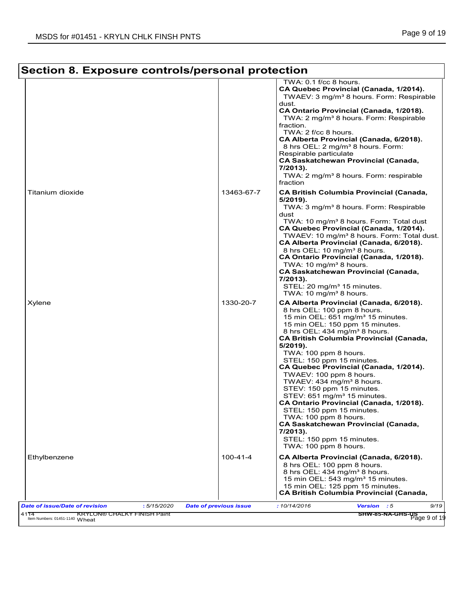|                                       | Section 8. Exposure controls/personal protection                                                                                                                                                                                                                                                                                                                                                                                                                                                                                                                                                                                                                                                                                                   |
|---------------------------------------|----------------------------------------------------------------------------------------------------------------------------------------------------------------------------------------------------------------------------------------------------------------------------------------------------------------------------------------------------------------------------------------------------------------------------------------------------------------------------------------------------------------------------------------------------------------------------------------------------------------------------------------------------------------------------------------------------------------------------------------------------|
|                                       | TWA: 0.1 f/cc 8 hours.<br>CA Quebec Provincial (Canada, 1/2014).<br>TWAEV: 3 mg/m <sup>3</sup> 8 hours. Form: Respirable<br>dust.<br>CA Ontario Provincial (Canada, 1/2018).<br>TWA: 2 mg/m <sup>3</sup> 8 hours. Form: Respirable<br>fraction.<br>TWA: 2 f/cc 8 hours.<br>CA Alberta Provincial (Canada, 6/2018).<br>8 hrs OEL: 2 mg/m <sup>3</sup> 8 hours. Form:<br>Respirable particulate<br><b>CA Saskatchewan Provincial (Canada,</b><br>7/2013).<br>TWA: 2 mg/m <sup>3</sup> 8 hours. Form: respirable<br>fraction                                                                                                                                                                                                                          |
| Titanium dioxide                      | 13463-67-7<br>CA British Columbia Provincial (Canada,<br>5/2019).<br>TWA: 3 mg/m <sup>3</sup> 8 hours. Form: Respirable<br>dust<br>TWA: 10 mg/m <sup>3</sup> 8 hours. Form: Total dust<br>CA Quebec Provincial (Canada, 1/2014).<br>TWAEV: 10 mg/m <sup>3</sup> 8 hours. Form: Total dust.<br>CA Alberta Provincial (Canada, 6/2018).<br>8 hrs OEL: 10 mg/m <sup>3</sup> 8 hours.<br>CA Ontario Provincial (Canada, 1/2018).<br>TWA: 10 mg/m <sup>3</sup> 8 hours.<br><b>CA Saskatchewan Provincial (Canada,</b><br>7/2013).<br>STEL: 20 mg/m <sup>3</sup> 15 minutes.<br>TWA: 10 mg/m <sup>3</sup> 8 hours.                                                                                                                                       |
| Xylene                                | 1330-20-7<br>CA Alberta Provincial (Canada, 6/2018).<br>8 hrs OEL: 100 ppm 8 hours.<br>15 min OEL: 651 mg/m <sup>3</sup> 15 minutes.<br>15 min OEL: 150 ppm 15 minutes.<br>8 hrs OEL: 434 mg/m <sup>3</sup> 8 hours.<br><b>CA British Columbia Provincial (Canada,</b><br>$5/2019$ ).<br>TWA: 100 ppm 8 hours.<br>STEL: 150 ppm 15 minutes.<br>CA Quebec Provincial (Canada, 1/2014).<br>TWAEV: 100 ppm 8 hours.<br>TWAEV: 434 mg/m <sup>3</sup> 8 hours.<br>STEV: 150 ppm 15 minutes.<br>STEV: 651 mg/m <sup>3</sup> 15 minutes.<br>CA Ontario Provincial (Canada, 1/2018).<br>STEL: 150 ppm 15 minutes.<br>TWA: 100 ppm 8 hours.<br><b>CA Saskatchewan Provincial (Canada,</b><br>7/2013).<br>STEL: 150 ppm 15 minutes.<br>TWA: 100 ppm 8 hours. |
| Ethylbenzene                          | $100 - 41 - 4$<br>CA Alberta Provincial (Canada, 6/2018).<br>8 hrs OEL: 100 ppm 8 hours.<br>8 hrs OEL: 434 mg/m <sup>3</sup> 8 hours.<br>15 min OEL: 543 mg/m <sup>3</sup> 15 minutes.<br>15 min OEL: 125 ppm 15 minutes.<br><b>CA British Columbia Provincial (Canada,</b>                                                                                                                                                                                                                                                                                                                                                                                                                                                                        |
| <b>Date of issue/Date of revision</b> | :5/15/2020<br><b>Date of previous issue</b><br>:10/14/2016<br>Version : 5<br>9/19                                                                                                                                                                                                                                                                                                                                                                                                                                                                                                                                                                                                                                                                  |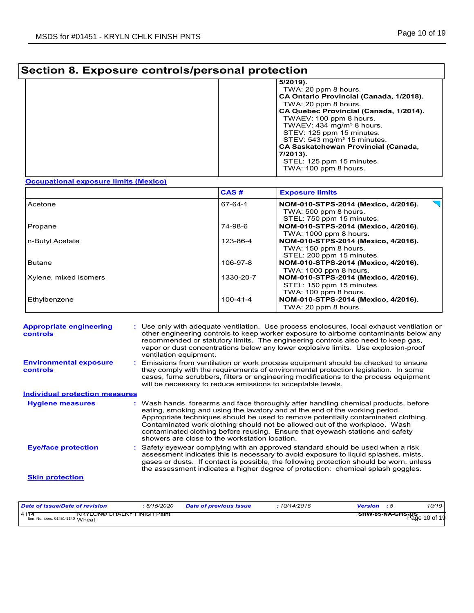# **Section 8. Exposure controls/personal protection**

| $5/2019$ ).                                |
|--------------------------------------------|
| TWA: 20 ppm 8 hours.                       |
| CA Ontario Provincial (Canada, 1/2018).    |
| TWA: 20 ppm 8 hours.                       |
| CA Quebec Provincial (Canada, 1/2014).     |
| TWAEV: 100 ppm 8 hours.                    |
| TWAEV: 434 mg/m <sup>3</sup> 8 hours.      |
| STEV: 125 ppm 15 minutes.                  |
| STEV: 543 mg/m <sup>3</sup> 15 minutes.    |
| <b>CA Saskatchewan Provincial (Canada,</b> |
| 7/2013).                                   |
|                                            |
| STEL: 125 ppm 15 minutes.                  |
| TWA: 100 ppm 8 hours.                      |

# **Occupational exposure limits (Mexico)**

|                       | CAS#      | <b>Exposure limits</b>                                                                          |
|-----------------------|-----------|-------------------------------------------------------------------------------------------------|
| Acetone               | 67-64-1   | ╲┓<br>NOM-010-STPS-2014 (Mexico, 4/2016).<br>TWA: 500 ppm 8 hours.<br>STEL: 750 ppm 15 minutes. |
| Propane               | 74-98-6   | NOM-010-STPS-2014 (Mexico, 4/2016).<br>TWA: 1000 ppm 8 hours.                                   |
| n-Butyl Acetate       | 123-86-4  | NOM-010-STPS-2014 (Mexico, 4/2016).<br>TWA: 150 ppm 8 hours.<br>STEL: 200 ppm 15 minutes.       |
| <b>Butane</b>         | 106-97-8  | NOM-010-STPS-2014 (Mexico, 4/2016).<br>TWA: $1000$ ppm 8 hours.                                 |
| Xylene, mixed isomers | 1330-20-7 | NOM-010-STPS-2014 (Mexico, 4/2016).<br>STEL: 150 ppm 15 minutes.<br>TWA: 100 ppm 8 hours.       |
| Ethylbenzene          | 100-41-4  | NOM-010-STPS-2014 (Mexico, 4/2016).<br>TWA: 20 ppm 8 hours.                                     |

| <b>Appropriate engineering</b><br><b>controls</b> | : Use only with adequate ventilation. Use process enclosures, local exhaust ventilation or<br>other engineering controls to keep worker exposure to airborne contaminants below any<br>recommended or statutory limits. The engineering controls also need to keep gas,<br>vapor or dust concentrations below any lower explosive limits. Use explosion-proof<br>ventilation equipment.                                                                                     |
|---------------------------------------------------|-----------------------------------------------------------------------------------------------------------------------------------------------------------------------------------------------------------------------------------------------------------------------------------------------------------------------------------------------------------------------------------------------------------------------------------------------------------------------------|
| <b>Environmental exposure</b><br><b>controls</b>  | Emissions from ventilation or work process equipment should be checked to ensure<br>they comply with the requirements of environmental protection legislation. In some<br>cases, fume scrubbers, filters or engineering modifications to the process equipment<br>will be necessary to reduce emissions to acceptable levels.                                                                                                                                               |
| <b>Individual protection measures</b>             |                                                                                                                                                                                                                                                                                                                                                                                                                                                                             |
| <b>Hygiene measures</b>                           | : Wash hands, forearms and face thoroughly after handling chemical products, before<br>eating, smoking and using the lavatory and at the end of the working period.<br>Appropriate techniques should be used to remove potentially contaminated clothing.<br>Contaminated work clothing should not be allowed out of the workplace. Wash<br>contaminated clothing before reusing. Ensure that eyewash stations and safety<br>showers are close to the workstation location. |
| <b>Eye/face protection</b>                        | Safety eyewear complying with an approved standard should be used when a risk<br>assessment indicates this is necessary to avoid exposure to liquid splashes, mists,<br>gases or dusts. If contact is possible, the following protection should be worn, unless<br>the assessment indicates a higher degree of protection: chemical splash goggles.                                                                                                                         |
| <b>Skin protection</b>                            |                                                                                                                                                                                                                                                                                                                                                                                                                                                                             |

| Date of issue/Date of revision                                          | 5/15/2020 | Date of previous issue | : 10/14/2016 | <b>Version</b> : 5                | 10/19 |
|-------------------------------------------------------------------------|-----------|------------------------|--------------|-----------------------------------|-------|
| $-41T$<br>KRYLON® CHALKY FINISH Paint<br>Item Numbers: 01451-1140 Wheat |           |                        |              | SHW-85-NA-GHS-DS<br>Page 10 of 19 |       |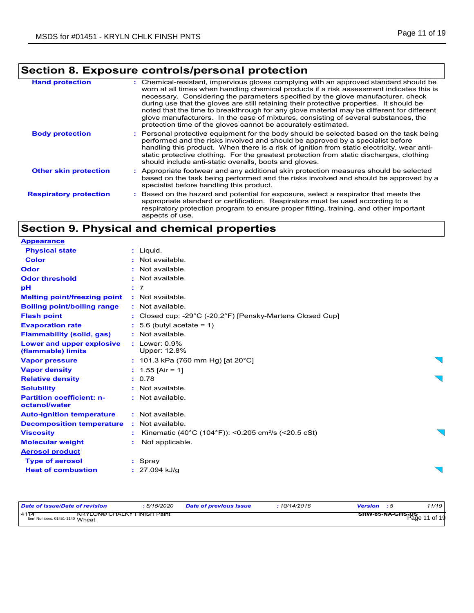# **Section 8. Exposure controls/personal protection**

| <b>Hand protection</b>        | : Chemical-resistant, impervious gloves complying with an approved standard should be<br>worn at all times when handling chemical products if a risk assessment indicates this is<br>necessary. Considering the parameters specified by the glove manufacturer, check<br>during use that the gloves are still retaining their protective properties. It should be<br>noted that the time to breakthrough for any glove material may be different for different<br>glove manufacturers. In the case of mixtures, consisting of several substances, the<br>protection time of the gloves cannot be accurately estimated. |  |
|-------------------------------|------------------------------------------------------------------------------------------------------------------------------------------------------------------------------------------------------------------------------------------------------------------------------------------------------------------------------------------------------------------------------------------------------------------------------------------------------------------------------------------------------------------------------------------------------------------------------------------------------------------------|--|
| <b>Body protection</b>        | : Personal protective equipment for the body should be selected based on the task being<br>performed and the risks involved and should be approved by a specialist before<br>handling this product. When there is a risk of ignition from static electricity, wear anti-<br>static protective clothing. For the greatest protection from static discharges, clothing<br>should include anti-static overalls, boots and gloves.                                                                                                                                                                                         |  |
| <b>Other skin protection</b>  | : Appropriate footwear and any additional skin protection measures should be selected<br>based on the task being performed and the risks involved and should be approved by a<br>specialist before handling this product.                                                                                                                                                                                                                                                                                                                                                                                              |  |
| <b>Respiratory protection</b> | : Based on the hazard and potential for exposure, select a respirator that meets the<br>appropriate standard or certification. Respirators must be used according to a<br>respiratory protection program to ensure proper fitting, training, and other important<br>aspects of use.                                                                                                                                                                                                                                                                                                                                    |  |

# **Section 9. Physical and chemical properties**

| <b>Physical state</b><br>: Liquid.<br><b>Color</b><br>: Not available.<br>Odor<br>: Not available.<br>: Not available.<br><b>Odor threshold</b><br>рH<br>: 7<br><b>Melting point/freezing point</b><br>: Not available.<br><b>Boiling point/boiling range</b><br>: Not available.<br><b>Flash point</b><br>: Closed cup: -29 $^{\circ}$ C (-20.2 $^{\circ}$ F) [Pensky-Martens Closed Cup]<br><b>Evaporation rate</b><br>$: 5.6$ (butyl acetate = 1)<br><b>Flammability (solid, gas)</b><br>: Not available. |  |
|--------------------------------------------------------------------------------------------------------------------------------------------------------------------------------------------------------------------------------------------------------------------------------------------------------------------------------------------------------------------------------------------------------------------------------------------------------------------------------------------------------------|--|
|                                                                                                                                                                                                                                                                                                                                                                                                                                                                                                              |  |
|                                                                                                                                                                                                                                                                                                                                                                                                                                                                                                              |  |
|                                                                                                                                                                                                                                                                                                                                                                                                                                                                                                              |  |
|                                                                                                                                                                                                                                                                                                                                                                                                                                                                                                              |  |
|                                                                                                                                                                                                                                                                                                                                                                                                                                                                                                              |  |
|                                                                                                                                                                                                                                                                                                                                                                                                                                                                                                              |  |
|                                                                                                                                                                                                                                                                                                                                                                                                                                                                                                              |  |
|                                                                                                                                                                                                                                                                                                                                                                                                                                                                                                              |  |
|                                                                                                                                                                                                                                                                                                                                                                                                                                                                                                              |  |
|                                                                                                                                                                                                                                                                                                                                                                                                                                                                                                              |  |
| Lower and upper explosive<br>$:$ Lower: $0.9\%$<br>Upper: 12.8%<br>(flammable) limits                                                                                                                                                                                                                                                                                                                                                                                                                        |  |
| : 101.3 kPa (760 mm Hg) [at 20 $^{\circ}$ C]<br><b>Vapor pressure</b>                                                                                                                                                                                                                                                                                                                                                                                                                                        |  |
| <b>Vapor density</b><br>: $1.55$ [Air = 1]                                                                                                                                                                                                                                                                                                                                                                                                                                                                   |  |
| <b>Relative density</b><br>: 0.78                                                                                                                                                                                                                                                                                                                                                                                                                                                                            |  |
| <b>Solubility</b><br>: Not available.                                                                                                                                                                                                                                                                                                                                                                                                                                                                        |  |
| <b>Partition coefficient: n-</b><br>: Not available.<br>octanol/water                                                                                                                                                                                                                                                                                                                                                                                                                                        |  |
| : Not available.<br><b>Auto-ignition temperature</b>                                                                                                                                                                                                                                                                                                                                                                                                                                                         |  |
| : Not available.<br><b>Decomposition temperature</b>                                                                                                                                                                                                                                                                                                                                                                                                                                                         |  |
| <b>Viscosity</b><br>Kinematic (40°C (104°F)): <0.205 cm <sup>2</sup> /s (<20.5 cSt)                                                                                                                                                                                                                                                                                                                                                                                                                          |  |
| <b>Molecular weight</b><br>Not applicable.                                                                                                                                                                                                                                                                                                                                                                                                                                                                   |  |
| <b>Aerosol product</b>                                                                                                                                                                                                                                                                                                                                                                                                                                                                                       |  |
| <b>Type of aerosol</b><br>: Spray                                                                                                                                                                                                                                                                                                                                                                                                                                                                            |  |
| <b>Heat of combustion</b><br>$: 27.094$ kJ/g                                                                                                                                                                                                                                                                                                                                                                                                                                                                 |  |

| Date of issue/Date of revision                                               | 5/15/2020 | Date of previous issue | : 10/14/2016 | Version                  | 11/19    |
|------------------------------------------------------------------------------|-----------|------------------------|--------------|--------------------------|----------|
| 4114<br><b>KRYLON® CHALKY FINISH Paint</b><br>Item Numbers: 01451-1140 Wheat |           |                        |              | SHW-85-NA-GHS-US<br>Page | 11 of 19 |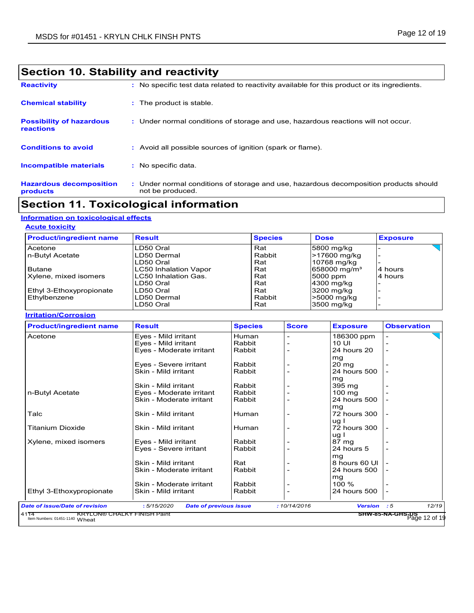| Section 10. Stability and reactivity                |                                                                                                           |  |  |  |  |
|-----------------------------------------------------|-----------------------------------------------------------------------------------------------------------|--|--|--|--|
| <b>Reactivity</b>                                   | : No specific test data related to reactivity available for this product or its ingredients.              |  |  |  |  |
| <b>Chemical stability</b>                           | : The product is stable.                                                                                  |  |  |  |  |
| <b>Possibility of hazardous</b><br><b>reactions</b> | : Under normal conditions of storage and use, hazardous reactions will not occur.                         |  |  |  |  |
| <b>Conditions to avoid</b>                          | : Avoid all possible sources of ignition (spark or flame).                                                |  |  |  |  |
| <b>Incompatible materials</b>                       | : No specific data.                                                                                       |  |  |  |  |
| <b>Hazardous decomposition</b><br>products          | : Under normal conditions of storage and use, hazardous decomposition products should<br>not be produced. |  |  |  |  |

# **Section 11. Toxicological information**

# **Information on toxicological effects**

| <b>Acute toxicity</b> |
|-----------------------|
|                       |

| <b>Product/ingredient name</b> | <b>Result</b>                | <b>Species</b> | <b>Dose</b>              | <b>Exposure</b> |
|--------------------------------|------------------------------|----------------|--------------------------|-----------------|
| Acetone                        | LD50 Oral                    | Rat            | 5800 mg/kg               |                 |
| n-Butyl Acetate                | LD50 Dermal                  | Rabbit         | $\mid$ > 17600 mg/kg     |                 |
|                                | LD50 Oral                    | Rat            | 10768 mg/kg              |                 |
| <b>Butane</b>                  | <b>LC50 Inhalation Vapor</b> | Rat            | 658000 mg/m <sup>3</sup> | 4 hours         |
| Xylene, mixed isomers          | ILC50 Inhalation Gas.        | Rat            | 5000 ppm                 | 4 hours         |
|                                | LD50 Oral                    | Rat            | 4300 mg/kg               |                 |
| Ethyl 3-Ethoxypropionate       | LD50 Oral                    | Rat            | 3200 mg/kg               |                 |
| Ethylbenzene                   | LD50 Dermal                  | Rabbit         | >5000 mg/kg              |                 |
|                                | LD50 Oral                    | Rat            | 3500 mg/kg               |                 |

|  | <b>Irritation/Corrosion</b> |  |
|--|-----------------------------|--|
|--|-----------------------------|--|

| <b>Product/ingredient name</b> | <b>Result</b>                               | <b>Species</b> | <b>Score</b> | <b>Exposure</b>  | <b>Observation</b>                      |       |
|--------------------------------|---------------------------------------------|----------------|--------------|------------------|-----------------------------------------|-------|
| Acetone                        | Eyes - Mild irritant                        | Human          |              | 186300 ppm       |                                         |       |
|                                | Eyes - Mild irritant                        | Rabbit         |              | 10 UI            |                                         |       |
|                                | Eyes - Moderate irritant                    | Rabbit         |              | 24 hours 20      |                                         |       |
|                                |                                             |                |              | mg               |                                         |       |
|                                | Eyes - Severe irritant                      | Rabbit         |              | 20 mg            |                                         |       |
|                                | Skin - Mild irritant                        | Rabbit         |              | 24 hours 500     |                                         |       |
|                                |                                             |                |              | mg               |                                         |       |
|                                | Skin - Mild irritant                        | Rabbit         |              | 395 mg           |                                         |       |
| n-Butyl Acetate                | Eyes - Moderate irritant                    | Rabbit         |              | $100 \text{ mg}$ |                                         |       |
|                                | Skin - Moderate irritant                    | Rabbit         |              | 24 hours 500     |                                         |       |
|                                |                                             |                |              | mg               |                                         |       |
| Talc                           | Skin - Mild irritant                        | Human          |              | 72 hours 300     |                                         |       |
|                                |                                             |                |              | ug I             |                                         |       |
| <b>Titanium Dioxide</b>        | Skin - Mild irritant                        | Human          |              | 72 hours 300     |                                         |       |
|                                |                                             |                |              | ug l             |                                         |       |
| Xylene, mixed isomers          | Eyes - Mild irritant                        | Rabbit         |              | 87 mg            |                                         |       |
|                                | Eyes - Severe irritant                      | Rabbit         |              | 24 hours 5       |                                         |       |
|                                |                                             |                |              | mg               |                                         |       |
|                                | Skin - Mild irritant                        | Rat            |              | 8 hours 60 UI    |                                         |       |
|                                | Skin - Moderate irritant                    | Rabbit         |              | 24 hours 500     |                                         |       |
|                                |                                             |                |              | mg               |                                         |       |
|                                | Skin - Moderate irritant                    | Rabbit         |              | 100 %            |                                         |       |
| Ethyl 3-Ethoxypropionate       | Skin - Mild irritant                        | Rabbit         |              | 24 hours 500     |                                         |       |
| Date of issue/Date of revision | :5/15/2020<br><b>Date of previous issue</b> |                | :10/14/2016  | <b>Version</b>   | :5<br>SHW-85-NA-GHS-US<br>Page 12 of 19 | 12/19 |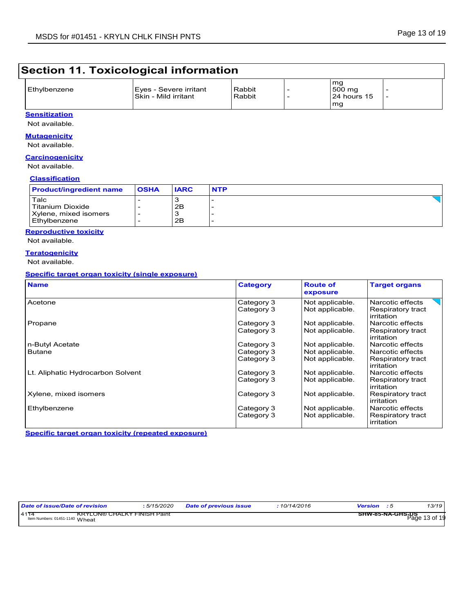# **Section 11. Toxicological information**

| Ethylbenzene | Eyes - Severe irritant<br>ISkin - Mild irritant | Rabbit<br>Rabbit | mq<br>500 mg<br>24 hours 15 |  |
|--------------|-------------------------------------------------|------------------|-----------------------------|--|
|              |                                                 |                  | mg                          |  |

#### **Sensitization** Not available.

#### **Mutagenicity**

Not available.

#### **Carcinogenicity**

Not available.

#### **Classification**

| Talc<br>Titanium Dioxide<br>2B | <b>Product/ingredient name</b> | <b>IARC</b><br><b>OSHA</b> | <b>NTP</b> |  |
|--------------------------------|--------------------------------|----------------------------|------------|--|
| Ethylbenzene<br>2B             | Xylene, mixed isomers          |                            |            |  |

#### **Reproductive toxicity** Not available.

**Teratogenicity**

Not available.

#### **Specific target organ toxicity (single exposure)**

| <b>Name</b>                       | <b>Category</b> | <b>Route of</b><br>exposure | <b>Target organs</b>            |
|-----------------------------------|-----------------|-----------------------------|---------------------------------|
| Acetone                           | Category 3      | Not applicable.             | Narcotic effects                |
|                                   | Category 3      | Not applicable.             | Respiratory tract<br>irritation |
| Propane                           | Category 3      | Not applicable.             | Narcotic effects                |
|                                   | Category 3      | Not applicable.             | Respiratory tract<br>irritation |
| n-Butyl Acetate                   | Category 3      | Not applicable.             | Narcotic effects                |
| <b>Butane</b>                     | Category 3      | Not applicable.             | Narcotic effects                |
|                                   | Category 3      | Not applicable.             | Respiratory tract<br>irritation |
| Lt. Aliphatic Hydrocarbon Solvent | Category 3      | Not applicable.             | Narcotic effects                |
|                                   | Category 3      | Not applicable.             | Respiratory tract<br>irritation |
| Xylene, mixed isomers             | Category 3      | Not applicable.             | Respiratory tract<br>irritation |
| Ethylbenzene                      | Category 3      | Not applicable.             | Narcotic effects                |
|                                   | Category 3      | Not applicable.             | Respiratory tract<br>irritation |

**Specific target organ toxicity (repeated exposure)**

| Date of issue/Date of revision                                                | : 5/15/2020 | <b>Date of previous issue</b> | :10/14/2016 | <b>Version</b> : 5                  | 13/19 |
|-------------------------------------------------------------------------------|-------------|-------------------------------|-------------|-------------------------------------|-------|
| 14114<br><b>KRYLON® CHALKY FINISH Paint</b><br>Item Numbers: 01451-1140 Wheat |             |                               |             | — SHW-85-NA-GHS-US<br>Раде 13 of 19 |       |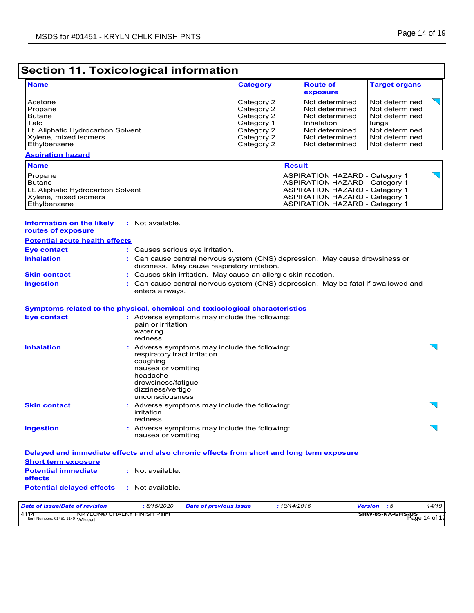**Information on the likely :** Not available.

# **Section 11. Toxicological information**

| <b>Name</b>                       | <b>Category</b> | <b>Route of</b><br>exposure | <b>Target organs</b> |
|-----------------------------------|-----------------|-----------------------------|----------------------|
| Acetone                           | Category 2      | Not determined              | Not determined       |
| Propane                           | Category 2      | I Not determined            | Not determined       |
| <b>Butane</b>                     | Category 2      | Not determined              | Not determined       |
| Talc                              | Category 1      | Inhalation                  | lungs                |
| Lt. Aliphatic Hydrocarbon Solvent | Category 2      | I Not determined            | Not determined       |
| Xylene, mixed isomers             | Category 2      | Not determined              | Not determined       |
| Ethylbenzene                      | Category 2      | Not determined              | Not determined       |

#### **Aspiration hazard**

| <b>Name</b>                       | <b>Result</b>                         |
|-----------------------------------|---------------------------------------|
| Propane                           | <b>ASPIRATION HAZARD - Category 1</b> |
| Butane                            | <b>ASPIRATION HAZARD - Category 1</b> |
| Lt. Aliphatic Hydrocarbon Solvent | <b>ASPIRATION HAZARD - Category 1</b> |
| Xylene, mixed isomers             | <b>ASPIRATION HAZARD - Category 1</b> |
| Ethylbenzene                      | <b>ASPIRATION HAZARD - Category 1</b> |

| routes of exposure                                                    |                                                                                                                                                                                         |       |
|-----------------------------------------------------------------------|-----------------------------------------------------------------------------------------------------------------------------------------------------------------------------------------|-------|
| <b>Potential acute health effects</b>                                 |                                                                                                                                                                                         |       |
| <b>Eye contact</b>                                                    | : Causes serious eye irritation.                                                                                                                                                        |       |
| <b>Inhalation</b>                                                     | : Can cause central nervous system (CNS) depression. May cause drowsiness or<br>dizziness. May cause respiratory irritation.                                                            |       |
| <b>Skin contact</b>                                                   | Causes skin irritation. May cause an allergic skin reaction.                                                                                                                            |       |
| <b>Ingestion</b>                                                      | Can cause central nervous system (CNS) depression. May be fatal if swallowed and<br>enters airways.                                                                                     |       |
|                                                                       | Symptoms related to the physical, chemical and toxicological characteristics                                                                                                            |       |
| <b>Eve contact</b>                                                    | : Adverse symptoms may include the following:<br>pain or irritation<br>watering<br>redness                                                                                              |       |
| <b>Inhalation</b>                                                     | Adverse symptoms may include the following:<br>respiratory tract irritation<br>coughing<br>nausea or vomiting<br>headache<br>drowsiness/fatigue<br>dizziness/vertigo<br>unconsciousness |       |
| <b>Skin contact</b>                                                   | : Adverse symptoms may include the following:<br>irritation<br>redness                                                                                                                  |       |
| <b>Ingestion</b>                                                      | : Adverse symptoms may include the following:<br>nausea or vomiting                                                                                                                     |       |
|                                                                       | Delayed and immediate effects and also chronic effects from short and long term exposure                                                                                                |       |
| <b>Short term exposure</b>                                            |                                                                                                                                                                                         |       |
| <b>Potential immediate</b><br><b>effects</b>                          | : Not available.                                                                                                                                                                        |       |
| <b>Potential delayed effects</b>                                      | : Not available.                                                                                                                                                                        |       |
| <b>Date of issue/Date of revision</b>                                 | :5/15/2020<br><b>Date of previous issue</b><br>:10/14/2016<br><b>Version</b> : 5                                                                                                        | 14/19 |
| 4114<br>KRYLON® CHALKY FINISH Paint<br>Item Numbers: 01451-1140 Wheat | SHW-85-NA-GHS-US<br>Page 14 of 19                                                                                                                                                       |       |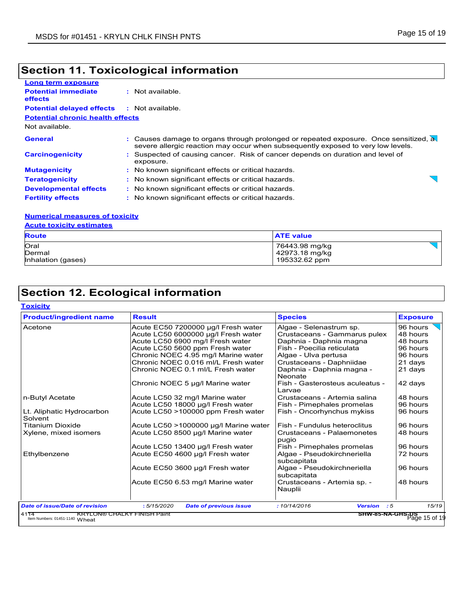# **Section 11. Toxicological information**

| Long term exposure                      |                                                                                                                                                                        |
|-----------------------------------------|------------------------------------------------------------------------------------------------------------------------------------------------------------------------|
| <b>Potential immediate</b><br>effects   | : Not available.                                                                                                                                                       |
| <b>Potential delayed effects</b>        | : Not available.                                                                                                                                                       |
| <b>Potential chronic health effects</b> |                                                                                                                                                                        |
| Not available.                          |                                                                                                                                                                        |
| General                                 | Causes damage to organs through prolonged or repeated exposure. Once sensitized, a<br>severe allergic reaction may occur when subsequently exposed to very low levels. |
| <b>Carcinogenicity</b>                  | : Suspected of causing cancer. Risk of cancer depends on duration and level of<br>exposure.                                                                            |
| <b>Mutagenicity</b>                     | : No known significant effects or critical hazards.                                                                                                                    |
| <b>Teratogenicity</b>                   | : No known significant effects or critical hazards.                                                                                                                    |
| <b>Developmental effects</b>            | : No known significant effects or critical hazards.                                                                                                                    |
| <b>Fertility effects</b>                | : No known significant effects or critical hazards.                                                                                                                    |

### **Numerical measures of toxicity**

#### **Acute toxicity estimates**

| <b>Route</b>       | <b>ATE value</b> |
|--------------------|------------------|
| Oral               | 76443.98 mg/kg   |
| Dermal             | 42973.18 mg/kg   |
| Inhalation (gases) | 195332.62 ppm    |

# **Section 12. Ecological information**

| <b>Toxicity</b> |  |
|-----------------|--|
|                 |  |

| <b>Product/ingredient name</b>        | <b>Result</b>                               | <b>Species</b>                             | <b>Exposure</b>                                                 |
|---------------------------------------|---------------------------------------------|--------------------------------------------|-----------------------------------------------------------------|
| Acetone                               | Acute EC50 7200000 µg/l Fresh water         | Algae - Selenastrum sp.                    | 96 hours                                                        |
|                                       | Acute LC50 6000000 µg/l Fresh water         | Crustaceans - Gammarus pulex               | 48 hours                                                        |
|                                       | Acute LC50 6900 mg/l Fresh water            | Daphnia - Daphnia magna                    | 48 hours                                                        |
|                                       | Acute LC50 5600 ppm Fresh water             | Fish - Poecilia reticulata                 | 96 hours                                                        |
|                                       | Chronic NOEC 4.95 mg/l Marine water         | Algae - Ulva pertusa                       | 96 hours                                                        |
|                                       | Chronic NOEC 0.016 ml/L Fresh water         | Crustaceans - Daphniidae                   | 21 days                                                         |
|                                       | Chronic NOEC 0.1 ml/L Fresh water           | Daphnia - Daphnia magna -<br>Neonate       | 21 days                                                         |
|                                       | Chronic NOEC 5 µg/l Marine water            | Fish - Gasterosteus aculeatus -<br>Larvae  | 42 days                                                         |
| n-Butyl Acetate                       | Acute LC50 32 mg/l Marine water             | Crustaceans - Artemia salina               | 48 hours                                                        |
|                                       | Acute LC50 18000 µg/l Fresh water           | Fish - Pimephales promelas                 | 96 hours                                                        |
| Lt. Aliphatic Hydrocarbon<br>Solvent  | Acute LC50 >100000 ppm Fresh water          | Fish - Oncorhynchus mykiss                 | 96 hours                                                        |
| <b>Titanium Dioxide</b>               | Acute LC50 >1000000 µg/l Marine water       | Fish - Fundulus heteroclitus               | 96 hours                                                        |
| Xylene, mixed isomers                 | Acute LC50 8500 µg/l Marine water           | Crustaceans - Palaemonetes<br>pugio        | 48 hours                                                        |
|                                       | Acute LC50 13400 µg/l Fresh water           | Fish - Pimephales promelas                 | 96 hours                                                        |
| Ethylbenzene                          | Acute EC50 4600 µg/l Fresh water            | Algae - Pseudokirchneriella<br>subcapitata | 72 hours                                                        |
|                                       | Acute EC50 3600 µg/l Fresh water            | Algae - Pseudokirchneriella<br>subcapitata | 96 hours                                                        |
|                                       | Acute EC50 6.53 mg/l Marine water           | Crustaceans - Artemia sp. -<br>Nauplii     | 48 hours                                                        |
| <b>Date of issue/Date of revision</b> | :5/15/2020<br><b>Date of previous issue</b> | :10/14/2016<br>Version : 5                 | 15/19<br>$\frac{1}{\sqrt{3}}$ SHW-85-NA-GHS-US<br>Page 15 of 19 |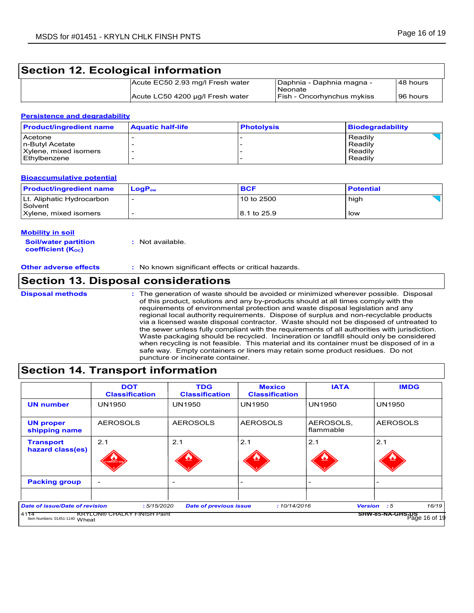# **Section 12. Ecological information** Acute EC50 2.93 mg/l Fresh water Daphnia - Daphnia magna -

| Acute EC50 2.93 mg/l Fresh water | Daphnia - Daphnia magna -         | l 48 hours |
|----------------------------------|-----------------------------------|------------|
|                                  | Neonate                           |            |
| Acute LC50 4200 µg/l Fresh water | <b>Fish - Oncorhynchus mykiss</b> | 196 hours  |

#### **Persistence and degradability**

| <b>Product/ingredient name</b> | <b>Aquatic half-life</b> | <b>Photolysis</b> | Biodegradability |
|--------------------------------|--------------------------|-------------------|------------------|
| Acetone                        |                          |                   | Readily          |
| In-Butyl Acetate               |                          |                   | Readily          |
| Xylene, mixed isomers          |                          |                   | Readily          |
| <b>Ethylbenzene</b>            |                          |                   | Readily          |

#### **Bioaccumulative potential**

| <b>Product/ingredient name</b>       | $LoaPow$                 | <b>BCF</b>  | <b>Potential</b> |
|--------------------------------------|--------------------------|-------------|------------------|
| Lt. Aliphatic Hydrocarbon<br>Solvent | $\overline{\phantom{0}}$ | 10 to 2500  | high             |
| Xylene, mixed isomers                | $\overline{\phantom{0}}$ | 8.1 to 25.9 | low              |

#### **Mobility in soil**

**Soil/water partition coefficient (KOC) :** Not available.

**Other adverse effects :** No known significant effects or critical hazards.

### **Section 13. Disposal considerations**

The generation of waste should be avoided or minimized wherever possible. Disposal of this product, solutions and any by-products should at all times comply with the requirements of environmental protection and waste disposal legislation and any regional local authority requirements. Dispose of surplus and non-recyclable products via a licensed waste disposal contractor. Waste should not be disposed of untreated to the sewer unless fully compliant with the requirements of all authorities with jurisdiction. Waste packaging should be recycled. Incineration or landfill should only be considered when recycling is not feasible. This material and its container must be disposed of in a safe way. Empty containers or liners may retain some product residues. Do not puncture or incinerate container. **Disposal methods :**

### **Section 14. Transport information**

|                                        | <b>DOT</b><br><b>Classification</b> | <b>TDG</b><br><b>Classification</b> | <b>Mexico</b><br><b>Classification</b> | <b>IATA</b>            | <b>IMDG</b>                       |
|----------------------------------------|-------------------------------------|-------------------------------------|----------------------------------------|------------------------|-----------------------------------|
| <b>UN number</b>                       | UN1950                              | <b>UN1950</b>                       | <b>UN1950</b>                          | <b>UN1950</b>          | <b>UN1950</b>                     |
| <b>UN proper</b><br>shipping name      | <b>AEROSOLS</b>                     | <b>AEROSOLS</b>                     | <b>AEROSOLS</b>                        | AEROSOLS,<br>flammable | <b>AEROSOLS</b>                   |
| <b>Transport</b><br>hazard class(es)   | 2.1<br>LAMMABLE GA                  | 2.1                                 | 2.1                                    | 2.1                    | 2.1                               |
| <b>Packing group</b>                   | $\overline{\phantom{0}}$            | $\overline{\phantom{0}}$            |                                        |                        |                                   |
| <b>Date of issue/Date of revision</b>  | :5/15/2020                          | <b>Date of previous issue</b>       | :10/14/2016                            |                        | 16/19<br>Version : 5              |
| 4114<br>Item Numbers: 01451-1140 Wheat | <b>KRYLON® CHALKY FINISH Paint</b>  |                                     |                                        |                        | SHW-85-NA-GHS-US<br>Page 16 of 19 |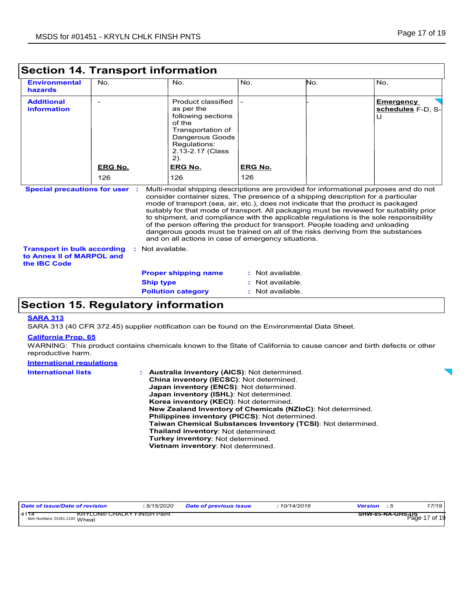| <b>Environmental</b><br>hazards                                                        | No.            | No.                                                              | No.                                                                                                                                                                                                                                                                                                                                                                                                  | No. | No.                                                                                                                                                                                                                                                                         |
|----------------------------------------------------------------------------------------|----------------|------------------------------------------------------------------|------------------------------------------------------------------------------------------------------------------------------------------------------------------------------------------------------------------------------------------------------------------------------------------------------------------------------------------------------------------------------------------------------|-----|-----------------------------------------------------------------------------------------------------------------------------------------------------------------------------------------------------------------------------------------------------------------------------|
| <b>Additional</b><br>information                                                       | <b>ERG No.</b> | as per the<br>of the<br>Regulations:<br>$2)$ .<br><b>ERG No.</b> | Product classified<br>following sections<br>Transportation of<br>Dangerous Goods<br>2.13-2.17 (Class<br><b>ERG No.</b>                                                                                                                                                                                                                                                                               |     | <b>Emergency</b><br>schedules F-D, S-<br>U                                                                                                                                                                                                                                  |
|                                                                                        | 126            | 126                                                              | 126                                                                                                                                                                                                                                                                                                                                                                                                  |     |                                                                                                                                                                                                                                                                             |
| <b>Special precautions for user :</b>                                                  |                |                                                                  | consider container sizes. The presence of a shipping description for a particular<br>mode of transport (sea, air, etc.), does not indicate that the product is packaged<br>of the person offering the product for transport. People loading and unloading<br>dangerous goods must be trained on all of the risks deriving from the substances<br>and on all actions in case of emergency situations. |     | Multi-modal shipping descriptions are provided for informational purposes and do not<br>suitably for that mode of transport. All packaging must be reviewed for suitability prior<br>to shipment, and compliance with the applicable regulations is the sole responsibility |
| <b>Transport in bulk according</b><br>to Annex II of MARPOL and<br>the <b>IBC</b> Code |                | : Not available.                                                 |                                                                                                                                                                                                                                                                                                                                                                                                      |     |                                                                                                                                                                                                                                                                             |
|                                                                                        |                | <b>Proper shipping name</b>                                      | : Not available.                                                                                                                                                                                                                                                                                                                                                                                     |     |                                                                                                                                                                                                                                                                             |
|                                                                                        |                | <b>Ship type</b>                                                 | Not available.                                                                                                                                                                                                                                                                                                                                                                                       |     |                                                                                                                                                                                                                                                                             |
|                                                                                        |                |                                                                  |                                                                                                                                                                                                                                                                                                                                                                                                      |     |                                                                                                                                                                                                                                                                             |

### **Section 15. Regulatory information**

#### **SARA 313**

SARA 313 (40 CFR 372.45) supplier notification can be found on the Environmental Data Sheet.

#### **California Prop. 65**

WARNING: This product contains chemicals known to the State of California to cause cancer and birth defects or other reproductive harm.

| <b>International regulations</b> |                                                                                                                                                                                                                                                                                                                                                                                                                                                                                                                                             |  |
|----------------------------------|---------------------------------------------------------------------------------------------------------------------------------------------------------------------------------------------------------------------------------------------------------------------------------------------------------------------------------------------------------------------------------------------------------------------------------------------------------------------------------------------------------------------------------------------|--|
| <b>International lists</b>       | : Australia inventory (AICS): Not determined.<br>China inventory (IECSC): Not determined.<br>Japan inventory (ENCS): Not determined.<br>Japan inventory (ISHL): Not determined.<br>Korea inventory (KECI): Not determined.<br>New Zealand Inventory of Chemicals (NZIoC): Not determined.<br><b>Philippines inventory (PICCS): Not determined.</b><br>Taiwan Chemical Substances Inventory (TCSI): Not determined.<br>Thailand inventory: Not determined.<br><b>Turkey inventory: Not determined.</b><br>Vietnam inventory: Not determined. |  |
|                                  |                                                                                                                                                                                                                                                                                                                                                                                                                                                                                                                                             |  |

| Date of issue/Date of revision                                               | 5/15/2020 | <b>Date of previous issue</b> | 10/14/2016 | Version                            | 17/19    |
|------------------------------------------------------------------------------|-----------|-------------------------------|------------|------------------------------------|----------|
| 4114<br><b>KRYLON® CHALKY FINISH Paint</b><br>Item Numbers: 01451-1140 Wheat |           |                               |            | <b>SHW-85-NA-GHS-US</b><br>Page 1. | 17 of 19 |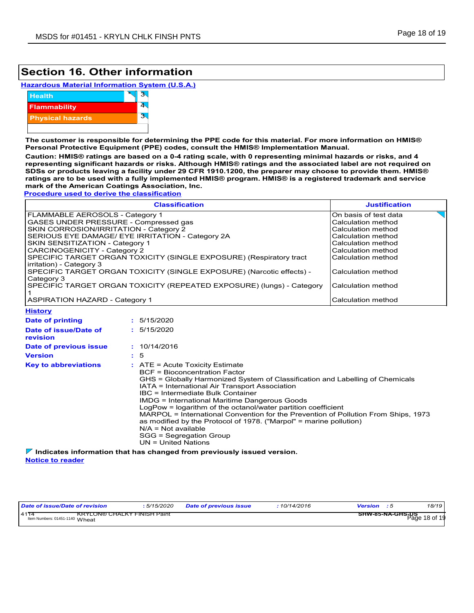### **Section 16. Other information**

|  | <b>Hazardous Material Information System (U.S.A.)</b> |  |
|--|-------------------------------------------------------|--|
|  |                                                       |  |



**The customer is responsible for determining the PPE code for this material. For more information on HMIS® Personal Protective Equipment (PPE) codes, consult the HMIS® Implementation Manual.**

**Caution: HMIS® ratings are based on a 0-4 rating scale, with 0 representing minimal hazards or risks, and 4 representing significant hazards or risks. Although HMIS® ratings and the associated label are not required on SDSs or products leaving a facility under 29 CFR 1910.1200, the preparer may choose to provide them. HMIS® ratings are to be used with a fully implemented HMIS® program. HMIS® is a registered trademark and service mark of the American Coatings Association, Inc.**

**Procedure used to derive the classification**

| <b>Classification</b>                                                                           | <b>Justification</b>  |
|-------------------------------------------------------------------------------------------------|-----------------------|
| FLAMMABLE AEROSOLS - Category 1                                                                 | On basis of test data |
| GASES UNDER PRESSURE - Compressed gas                                                           | Calculation method    |
| SKIN CORROSION/IRRITATION - Category 2                                                          | Calculation method    |
| SERIOUS EYE DAMAGE/ EYE IRRITATION - Category 2A                                                | Calculation method    |
| SKIN SENSITIZATION - Category 1                                                                 | Calculation method    |
| <b>CARCINOGENICITY - Category 2</b>                                                             | Calculation method    |
| SPECIFIC TARGET ORGAN TOXICITY (SINGLE EXPOSURE) (Respiratory tract<br>irritation) - Category 3 | Calculation method    |
| SPECIFIC TARGET ORGAN TOXICITY (SINGLE EXPOSURE) (Narcotic effects) -<br>Category 3             | Calculation method    |
| SPECIFIC TARGET ORGAN TOXICITY (REPEATED EXPOSURE) (lungs) - Category                           | Calculation method    |
| <b>ASPIRATION HAZARD - Category 1</b>                                                           | Calculation method    |

5/15/2020 **: History Date of printing Date of issue/Date of revision Version Date of previous issue : :** 5/15/2020 **:** 10/14/2016 **Key to abbreviations :** 5 ATE = Acute Toxicity Estimate BCF = Bioconcentration Factor GHS = Globally Harmonized System of Classification and Labelling of Chemicals IATA = International Air Transport Association IBC = Intermediate Bulk Container IMDG = International Maritime Dangerous Goods

LogPow = logarithm of the octanol/water partition coefficient MARPOL = International Convention for the Prevention of Pollution From Ships, 1973 as modified by the Protocol of 1978. ("Marpol" = marine pollution) N/A = Not available SGG = Segregation Group UN = United Nations

**Indicates information that has changed from previously issued version.**

**Notice to reader**

| Date of issue/Date of revision                                               | 5/15/2020 | <b>Date of previous issue</b> | : 10/14/2016 | Version                  | 18/19    |
|------------------------------------------------------------------------------|-----------|-------------------------------|--------------|--------------------------|----------|
| <b>KRYLON® CHALKY FINISH Paint</b><br>4114<br>Item Numbers: 01451-1140 Wheat |           |                               |              | SHW-85-NA-GHS-US<br>Page | 18 of 19 |